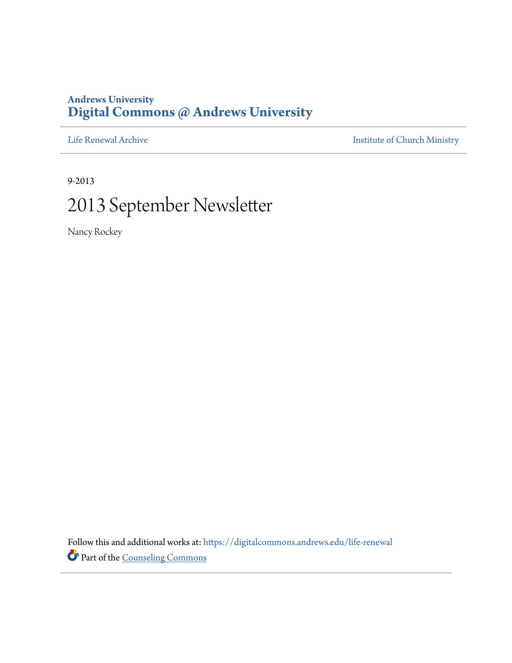### **Andrews University [Digital Commons @ Andrews University](https://digitalcommons.andrews.edu/?utm_source=digitalcommons.andrews.edu%2Flife-renewal%2F51&utm_medium=PDF&utm_campaign=PDFCoverPages)**

[Life Renewal Archive](https://digitalcommons.andrews.edu/life-renewal?utm_source=digitalcommons.andrews.edu%2Flife-renewal%2F51&utm_medium=PDF&utm_campaign=PDFCoverPages) **[Institute of Church Ministry](https://digitalcommons.andrews.edu/icm?utm_source=digitalcommons.andrews.edu%2Flife-renewal%2F51&utm_medium=PDF&utm_campaign=PDFCoverPages)** 

9-2013 2013 September Newsletter

Nancy Rockey

Follow this and additional works at: [https://digitalcommons.andrews.edu/life-renewal](https://digitalcommons.andrews.edu/life-renewal?utm_source=digitalcommons.andrews.edu%2Flife-renewal%2F51&utm_medium=PDF&utm_campaign=PDFCoverPages) Part of the [Counseling Commons](http://network.bepress.com/hgg/discipline/1268?utm_source=digitalcommons.andrews.edu%2Flife-renewal%2F51&utm_medium=PDF&utm_campaign=PDFCoverPages)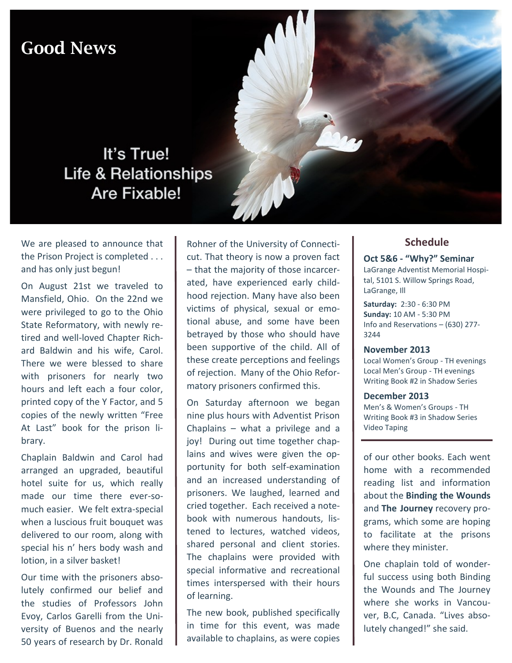## Good News



We are pleased to announce that the Prison Project is completed . . . and has only just begun!

It's True!

Are Fixable!

On August 21st we traveled to Mansfield, Ohio. On the 22nd we were privileged to go to the Ohio State Reformatory, with newly retired and well-loved Chapter Richard Baldwin and his wife, Carol. There we were blessed to share with prisoners for nearly two hours and left each a four color, printed copy of the Y Factor, and 5 copies of the newly written "Free At Last" book for the prison library.

Chaplain Baldwin and Carol had arranged an upgraded, beautiful hotel suite for us, which really made our time there ever-somuch easier. We felt extra-special when a luscious fruit bouquet was delivered to our room, along with special his n' hers body wash and lotion, in a silver basket!

Our time with the prisoners absolutely confirmed our belief and the studies of Professors John Evoy, Carlos Garelli from the University of Buenos and the nearly 50 years of research by Dr. Ronald

Rohner of the University of Connecticut. That theory is now a proven fact – that the majority of those incarcerated, have experienced early childhood rejection. Many have also been victims of physical, sexual or emotional abuse, and some have been betrayed by those who should have been supportive of the child. All of these create perceptions and feelings of rejection. Many of the Ohio Reformatory prisoners confirmed this.

On Saturday afternoon we began nine plus hours with Adventist Prison Chaplains – what a privilege and a joy! During out time together chaplains and wives were given the opportunity for both self-examination and an increased understanding of prisoners. We laughed, learned and cried together. Each received a notebook with numerous handouts, listened to lectures, watched videos, shared personal and client stories. The chaplains were provided with special informative and recreational times interspersed with their hours of learning.

The new book, published specifically in time for this event, was made available to chaplains, as were copies

#### **Schedule**

#### **Oct 5&6 - "Why?" Seminar**

LaGrange Adventist Memorial Hospital, 5101 S. Willow Springs Road, LaGrange, Ill

**Saturday:** 2:30 - 6:30 PM **Sunday:** 10 AM - 5:30 PM Info and Reservations – (630) 277- 3244

#### **November 2013**

Local Women's Group - TH evenings Local Men's Group - TH evenings Writing Book #2 in Shadow Series

**December 2013** Men's & Women's Groups - TH Writing Book #3 in Shadow Series Video Taping

of our other books. Each went home with a recommended reading list and information about the **Binding the Wounds** and **The Journey** recovery programs, which some are hoping to facilitate at the prisons where they minister.

One chaplain told of wonderful success using both Binding the Wounds and The Journey where she works in Vancouver, B.C, Canada. "Lives absolutely changed!" she said.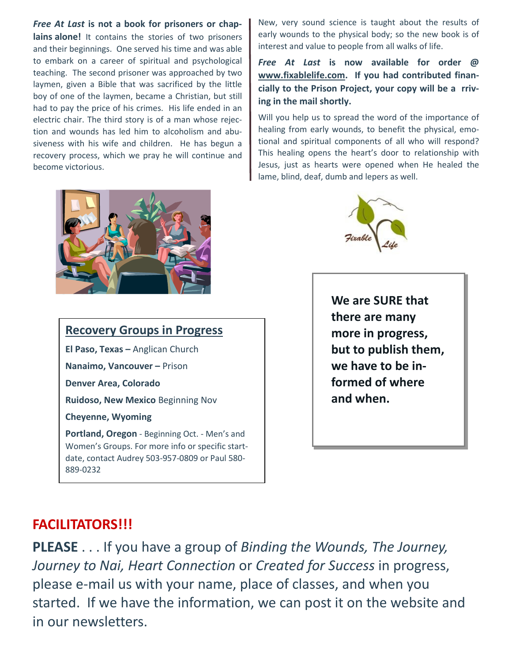#### *Free At Last* **is not a book for prisoners or chap-**

**lains alone!** It contains the stories of two prisoners and their beginnings. One served his time and was able to embark on a career of spiritual and psychological teaching. The second prisoner was approached by two laymen, given a Bible that was sacrificed by the little boy of one of the laymen, became a Christian, but still had to pay the price of his crimes. His life ended in an electric chair. The third story is of a man whose rejection and wounds has led him to alcoholism and abusiveness with his wife and children. He has begun a recovery process, which we pray he will continue and become victorious.



## **Recovery Groups in Progress**

**El Paso, Texas –** Anglican Church **Nanaimo, Vancouver –** Prison **Denver Area, Colorado Ruidoso, New Mexico** Beginning Nov **Cheyenne, Wyoming Portland, Oregon** - Beginning Oct. - Men's and Women's Groups. For more info or specific startdate, contact Audrey 503-957-0809 or Paul 580New, very sound science is taught about the results of early wounds to the physical body; so the new book is of interest and value to people from all walks of life.

#### *Free At Last* **is now available for order @ www.fixablelife.com. If you had contributed financially to the Prison Project, your copy will be a rriving in the mail shortly.**

Will you help us to spread the word of the importance of healing from early wounds, to benefit the physical, emotional and spiritual components of all who will respond? This healing opens the heart's door to relationship with Jesus, just as hearts were opened when He healed the lame, blind, deaf, dumb and lepers as well.



**We are SURE that there are many more in progress, but to publish them, we have to be informed of where and when.**

## **FACILITATORS!!!**

889-0232

**PLEASE** . . . If you have a group of *Binding the Wounds, The Journey, Journey to Nai, Heart Connection* or *Created for Success* in progress, please e-mail us with your name, place of classes, and when you started. If we have the information, we can post it on the website and in our newsletters.